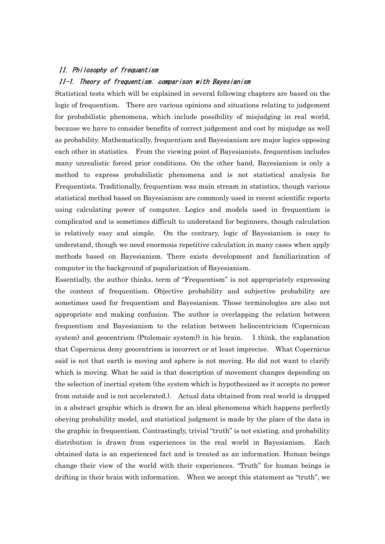## II. Philosophy of frequantism

## II-1. Theory of frequentism: comparison with Bayesianism

Statistical tests which will be explained in several following chapters are based on the logic of frequentism. There are various opinions and situations relating to judgement for probabilistic phenomena, which include possibility of misjudging in real world, because we have to consider benefits of correct judgement and cost by misjudge as well as probability. Mathematically, frequentism and Bayesianism are major logics opposing each other in statistics. From the viewing point of Bayesianists, frequentism includes many unrealistic forced prior conditions. On the other hand, Bayesianism is only a method to express probabilistic phenomena and is not statistical analysis for Frequentists. Traditionally, frequentism was main stream in statistics, though various statistical method based on Bayesianism are commonly used in recent scientific reports using calculating power of computer. Logics and models used in frequentism is complicated and is sometimes difficult to understand for beginners, though calculation is relatively easy and simple. On the contrary, logic of Bayesianism is easy to understand, though we need enormous repetitive calculation in many cases when apply methods based on Bayesianism. There exists development and familiarization of computer in the background of popularization of Bayesianism.

Essentially, the author thinks, term of "Frequentism" is not appropriately expressing the content of frequentism. Objective probability and subjective probability are sometimes used for frequentism and Bayesianism. Those terminologies are also not appropriate and making confusion. The author is overlapping the relation between frequentism and Bayesianism to the relation between heliocentricism (Copernican system) and geocentrism (Ptolemaic system)) in his brain. I think, the explanation that Copernicus deny geocentrism is incorrect or at least imprecise. What Copernicus said is not that earth is moving and sphere is not moving. He did not want to clarify which is moving. What he said is that description of movement changes depending on the selection of inertial system (the system which is hypothesized as it accepts no power from outside and is not accelerated.). Actual data obtained from real world is dropped in a abstract graphic which is drawn for an ideal phenomena which happens perfectly obeying probability model, and statistical judgment is made by the place of the data in the graphic in frequentism. Contrastingly, trivial "truth" is not existing, and probability distribution is drawn from experiences in the real world in Bayesianism. Each obtained data is an experienced fact and is treated as an information. Human beings change their view of the world with their experiences. "Truth" for human beings is drifting in their brain with information. When we accept this statement as "truth", we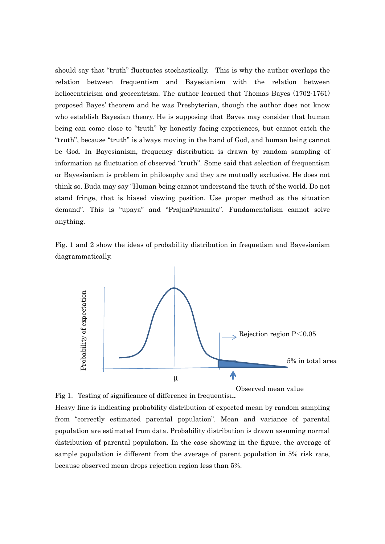should say that "truth" fluctuates stochastically. This is why the author overlaps the relation between frequentism and Bayesianism with the relation between heliocentricism and geocentrism. The author learned that Thomas Bayes (1702-1761) proposed Bayes' theorem and he was Presbyterian, though the author does not know who establish Bayesian theory. He is supposing that Bayes may consider that human being can come close to "truth" by honestly facing experiences, but cannot catch the "truth", because "truth" is always moving in the hand of God, and human being cannot be God. In Bayesianism, frequency distribution is drawn by random sampling of information as fluctuation of observed "truth". Some said that selection of frequentism or Bayesianism is problem in philosophy and they are mutually exclusive. He does not think so. Buda may say "Human being cannot understand the truth of the world. Do not stand fringe, that is biased viewing position. Use proper method as the situation demand". This is "upaya" and "PrajnaParamita". Fundamentalism cannot solve anything.

Fig. 1 and 2 show the ideas of probability distribution in frequetism and Bayesianism diagrammatically.



Fig 1. Testing of significance of difference in frequentism.

Heavy line is indicating probability distribution of expected mean by random sampling from "correctly estimated parental population". Mean and variance of parental population are estimated from data. Probability distribution is drawn assuming normal distribution of parental population. In the case showing in the figure, the average of sample population is different from the average of parent population in 5% risk rate, because observed mean drops rejection region less than 5%.